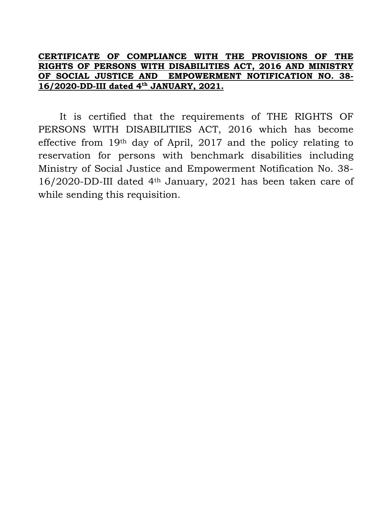## **CERTIFICATE OF COMPLIANCE WITH THE PROVISIONS OF THE RIGHTS OF PERSONS WITH DISABILITIES ACT, 2016 AND MINISTRY OF SOCIAL JUSTICE AND EMPOWERMENT NOTIFICATION NO. 38- 16/2020-DD-III dated 4th JANUARY, 2021.**

It is certified that the requirements of THE RIGHTS OF PERSONS WITH DISABILITIES ACT, 2016 which has become effective from 19th day of April, 2017 and the policy relating to reservation for persons with benchmark disabilities including Ministry of Social Justice and Empowerment Notification No. 38- 16/2020-DD-III dated 4th January, 2021 has been taken care of while sending this requisition.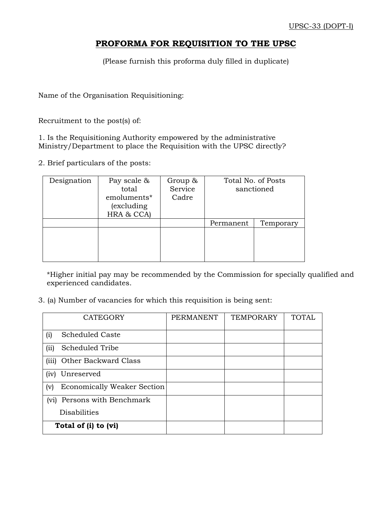## **PROFORMA FOR REQUISITION TO THE UPSC**

(Please furnish this proforma duly filled in duplicate)

Name of the Organisation Requisitioning:

Recruitment to the post(s) of:

1. Is the Requisitioning Authority empowered by the administrative Ministry/Department to place the Requisition with the UPSC directly?

2. Brief particulars of the posts:

| Designation | Pay scale &<br>total<br>emoluments*<br>(excluding)<br>HRA & CCA) | Group $\&$<br>Service<br>Cadre |                        | Total No. of Posts<br>sanctioned |
|-------------|------------------------------------------------------------------|--------------------------------|------------------------|----------------------------------|
|             |                                                                  |                                | Temporary<br>Permanent |                                  |
|             |                                                                  |                                |                        |                                  |

\*Higher initial pay may be recommended by the Commission for specially qualified and experienced candidates.

3. (a) Number of vacancies for which this requisition is being sent:

| <b>CATEGORY</b>                             | <b>PERMANENT</b> | <b>TEMPORARY</b> | <b>TOTAL</b> |
|---------------------------------------------|------------------|------------------|--------------|
| <b>Scheduled Caste</b><br>(i)               |                  |                  |              |
| Scheduled Tribe<br>(iii)                    |                  |                  |              |
| Other Backward Class<br>(iii)               |                  |                  |              |
| Unreserved<br>(iv)                          |                  |                  |              |
| Economically Weaker Section<br>(v)          |                  |                  |              |
| Persons with Benchmark<br>(v <sub>i</sub> ) |                  |                  |              |
| <b>Disabilities</b>                         |                  |                  |              |
| Total of (i) to (vi)                        |                  |                  |              |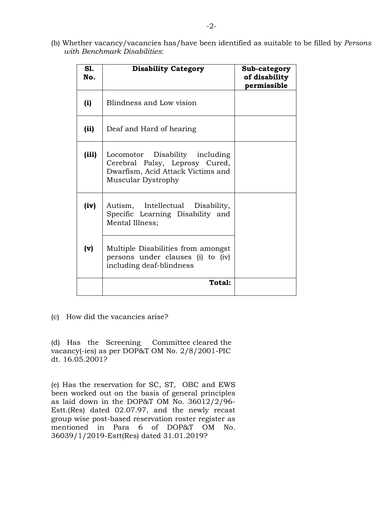(b) Whether vacancy/vacancies has/have been identified as suitable to be filled by *Persons with Benchmark Disabilities*:

| S1.<br>No. | <b>Disability Category</b>                                                                                                  | Sub-category<br>of disability<br>permissible |
|------------|-----------------------------------------------------------------------------------------------------------------------------|----------------------------------------------|
| (i)        | Blindness and Low vision                                                                                                    |                                              |
| (ii)       | Deaf and Hard of hearing                                                                                                    |                                              |
| (iii)      | Locomotor Disability including<br>Cerebral Palsy, Leprosy Cured,<br>Dwarfism, Acid Attack Victims and<br>Muscular Dystrophy |                                              |
| (iv)       | Autism, Intellectual Disability,<br>Specific Learning Disability and<br>Mental Illness;                                     |                                              |
| (v)        | Multiple Disabilities from amongst<br>persons under clauses (i) to (iv)<br>including deaf-blindness                         |                                              |
|            | <b>Total:</b>                                                                                                               |                                              |

(c) How did the vacancies arise?

(d) Has the Screening Committee cleared the vacancy(-ies) as per DOP&T OM No. 2/8/2001-PIC dt. 16.05.2001?

(e) Has the reservation for SC, ST, OBC and EWS been worked out on the basis of general principles as laid down in the DOP&T OM No. 36012/2/96- Estt.(Res) dated 02.07.97, and the newly recast group wise post-based reservation roster register as mentioned in Para 6 of DOP&T OM No. 36039/1/2019-Estt(Res) dated 31.01.2019?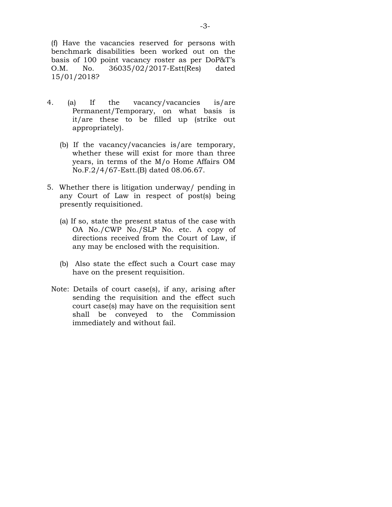(f) Have the vacancies reserved for persons with benchmark disabilities been worked out on the basis of 100 point vacancy roster as per DoP&T's O.M. No. 36035/02/2017-Estt(Res) dated 15/01/2018?

- 4. (a) If the vacancy/vacancies is/are Permanent/Temporary, on what basis is it/are these to be filled up (strike out appropriately).
	- (b) If the vacancy/vacancies is/are temporary, whether these will exist for more than three years, in terms of the M/o Home Affairs OM No.F.2/4/67-Estt.(B) dated 08.06.67.
- 5. Whether there is litigation underway/ pending in any Court of Law in respect of post(s) being presently requisitioned.
	- (a) If so, state the present status of the case with OA No./CWP No./SLP No. etc. A copy of directions received from the Court of Law, if any may be enclosed with the requisition.
	- (b) Also state the effect such a Court case may have on the present requisition.
- Note: Details of court case(s), if any, arising after sending the requisition and the effect such court case(s) may have on the requisition sent shall be conveyed to the Commission immediately and without fail.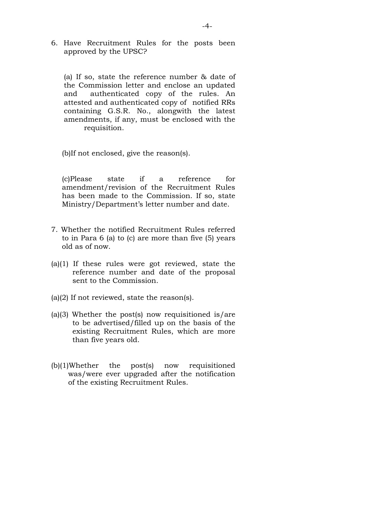6. Have Recruitment Rules for the posts been approved by the UPSC?

(a) If so, state the reference number & date of the Commission letter and enclose an updated and authenticated copy of the rules. An attested and authenticated copy of notified RRs containing G.S.R. No., alongwith the latest amendments, if any, must be enclosed with the requisition.

(b)If not enclosed, give the reason(s).

(c)Please state if a reference for amendment/revision of the Recruitment Rules has been made to the Commission. If so, state Ministry/Department's letter number and date.

- 7. Whether the notified Recruitment Rules referred to in Para 6 (a) to (c) are more than five (5) years old as of now.
- (a)(1) If these rules were got reviewed, state the reference number and date of the proposal sent to the Commission.
- (a)(2) If not reviewed, state the reason(s).
- (a)(3) Whether the post(s) now requisitioned is/are to be advertised/filled up on the basis of the existing Recruitment Rules, which are more than five years old.
- (b)(1)Whether the post(s) now requisitioned was/were ever upgraded after the notification of the existing Recruitment Rules.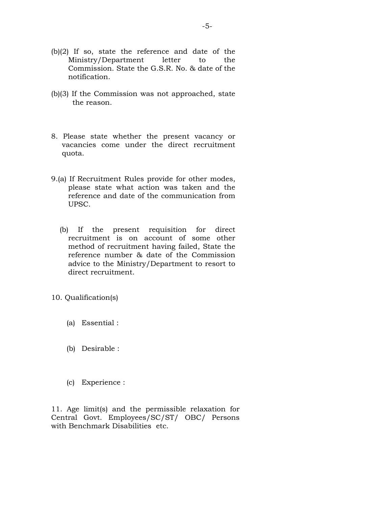- (b)(2) If so, state the reference and date of the Ministry/Department letter to the Commission. State the G.S.R. No. & date of the notification.
- (b)(3) If the Commission was not approached, state the reason.
- 8. Please state whether the present vacancy or vacancies come under the direct recruitment quota.
- 9.(a) If Recruitment Rules provide for other modes, please state what action was taken and the reference and date of the communication from UPSC.
	- (b) If the present requisition for direct recruitment is on account of some other method of recruitment having failed, State the reference number & date of the Commission advice to the Ministry/Department to resort to direct recruitment.

### 10. Qualification(s)

- (a) Essential :
- (b) Desirable :
- (c) Experience :

11. Age limit(s) and the permissible relaxation for Central Govt. Employees/SC/ST/ OBC/ Persons with Benchmark Disabilities etc.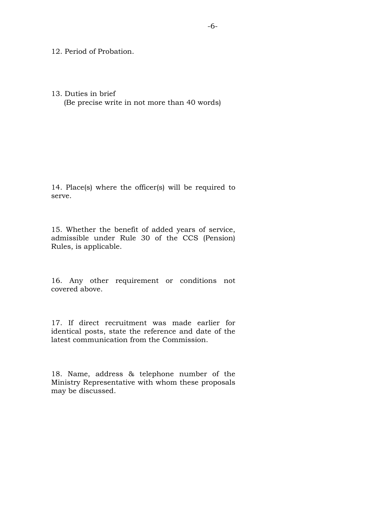12. Period of Probation.

#### 13. Duties in brief

(Be precise write in not more than 40 words)

14. Place(s) where the officer(s) will be required to serve.

15. Whether the benefit of added years of service, admissible under Rule 30 of the CCS (Pension) Rules, is applicable.

16. Any other requirement or conditions not covered above.

17. If direct recruitment was made earlier for identical posts, state the reference and date of the latest communication from the Commission.

18. Name, address & telephone number of the Ministry Representative with whom these proposals may be discussed.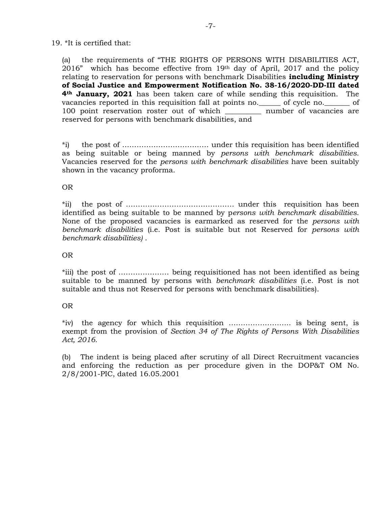#### 19. \*It is certified that:

(a) the requirements of "THE RIGHTS OF PERSONS WITH DISABILITIES ACT, 2016" which has become effective from 19th day of April, 2017 and the policy relating to reservation for persons with benchmark Disabilities **including Ministry of Social Justice and Empowerment Notification No. 38-16/2020-DD-III dated 4th January, 2021** has been taken care of while sending this requisition. The vacancies reported in this requisition fall at points no.\_\_\_\_\_\_ of cycle no.\_\_\_\_\_\_\_ of 100 point reservation roster out of which \_\_\_\_\_\_\_\_\_\_ number of vacancies are reserved for persons with benchmark disabilities, and

\*i) the post of ……………………………… under this requisition has been identified as being suitable or being manned by *persons with benchmark disabilities*. Vacancies reserved for the *persons with benchmark disabilities* have been suitably shown in the vacancy proforma.

#### OR

\*ii) the post of ……………………………………… under this requisition has been identified as being suitable to be manned by p*ersons with benchmark disabilities*. None of the proposed vacancies is earmarked as reserved for the *persons with benchmark disabilities* (i.e. Post is suitable but not Reserved for *persons with benchmark disabilities)* .

#### OR

\*iii) the post of ………………… being requisitioned has not been identified as being suitable to be manned by persons with *benchmark disabilities* (i.e. Post is not suitable and thus not Reserved for persons with benchmark disabilities).

### OR

\*iv) the agency for which this requisition …………………….. is being sent, is exempt from the provision of *Section 34 of The Rights of Persons With Disabilities Act, 2016.* 

(b) The indent is being placed after scrutiny of all Direct Recruitment vacancies and enforcing the reduction as per procedure given in the DOP&T OM No. 2/8/2001-PIC, dated 16.05.2001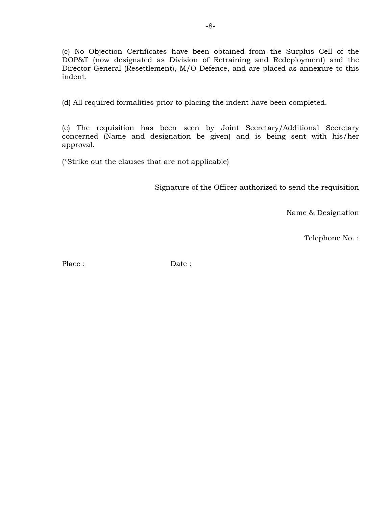(c) No Objection Certificates have been obtained from the Surplus Cell of the DOP&T (now designated as Division of Retraining and Redeployment) and the Director General (Resettlement), M/O Defence, and are placed as annexure to this indent.

(d) All required formalities prior to placing the indent have been completed.

(e) The requisition has been seen by Joint Secretary/Additional Secretary concerned (Name and designation be given) and is being sent with his/her approval.

(\*Strike out the clauses that are not applicable)

Signature of the Officer authorized to send the requisition

Name & Designation

Telephone No. :

Place : Date :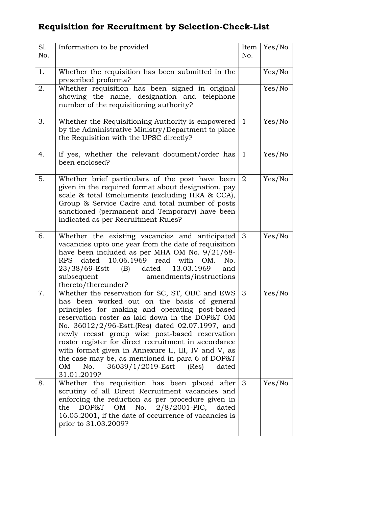## **Requisition for Recruitment by Selection-Check-List**

| Sl.<br>No. | Information to be provided                                                                                                                                                                                                                                                                                                                                                                                                                                                                                                                   | Item<br>No.    | Yes/No |
|------------|----------------------------------------------------------------------------------------------------------------------------------------------------------------------------------------------------------------------------------------------------------------------------------------------------------------------------------------------------------------------------------------------------------------------------------------------------------------------------------------------------------------------------------------------|----------------|--------|
| 1.         | Whether the requisition has been submitted in the<br>prescribed proforma?                                                                                                                                                                                                                                                                                                                                                                                                                                                                    |                | Yes/No |
| 2.         | Whether requisition has been signed in original<br>showing the name, designation and telephone<br>number of the requisitioning authority?                                                                                                                                                                                                                                                                                                                                                                                                    |                | Yes/No |
| 3.         | Whether the Requisitioning Authority is empowered<br>by the Administrative Ministry/Department to place<br>the Requisition with the UPSC directly?                                                                                                                                                                                                                                                                                                                                                                                           | -1             | Yes/No |
| 4.         | If yes, whether the relevant document/order has<br>been enclosed?                                                                                                                                                                                                                                                                                                                                                                                                                                                                            | -1             | Yes/No |
| 5.         | Whether brief particulars of the post have been<br>given in the required format about designation, pay<br>scale & total Emoluments (excluding HRA & CCA),<br>Group & Service Cadre and total number of posts<br>sanctioned (permanent and Temporary) have been<br>indicated as per Recruitment Rules?                                                                                                                                                                                                                                        | $\overline{2}$ | Yes/No |
| 6.         | Whether the existing vacancies and anticipated<br>vacancies upto one year from the date of requisition<br>have been included as per MHA OM No. $9/21/68$ -<br>dated 10.06.1969 read<br>with<br><b>RPS</b><br>OM.<br>No.<br>23/38/69-Estt (B) dated<br>13.03.1969<br>and<br>subsequent<br>amendments/instructions<br>thereto/thereunder?                                                                                                                                                                                                      | $\mathbf{3}$   | Yes/No |
| 7.         | Whether the reservation for SC, ST, OBC and EWS<br>has been worked out on the basis of general<br>principles for making and operating post-based<br>reservation roster as laid down in the DOP&T OM<br>No. 36012/2/96-Estt. (Res) dated 02.07.1997, and<br>newly recast group wise post-based reservation<br>roster register for direct recruitment in accordance<br>with format given in Annexure II, III, IV and V, as<br>the case may be, as mentioned in para 6 of DOP&T<br>No.<br>36039/1/2019-Estt (Res)<br>OM<br>dated<br>31.01.2019? | 3              | Yes/No |
| 8.         | Whether the requisition has been placed after $3$<br>scrutiny of all Direct Recruitment vacancies and<br>enforcing the reduction as per procedure given in<br>DOP&T<br>OM<br>No.<br>$2/8/2001$ -PIC, dated<br>the<br>16.05.2001, if the date of occurrence of vacancies is<br>prior to 31.03.2009?                                                                                                                                                                                                                                           |                | Yes/No |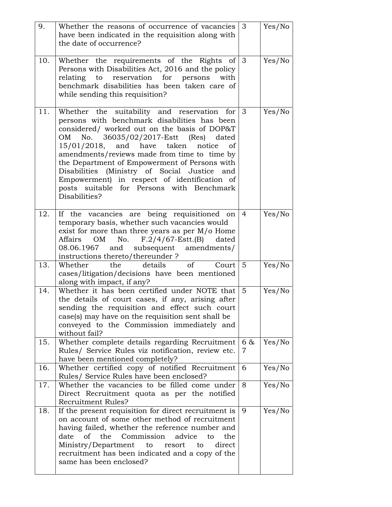| 9.  | Whether the reasons of occurrence of vacancies<br>have been indicated in the requisition along with<br>the date of occurrence?                                                                                                                                                                                                                                                                                                                                                                                  | $\mathbf{3}$   | Yes/No |
|-----|-----------------------------------------------------------------------------------------------------------------------------------------------------------------------------------------------------------------------------------------------------------------------------------------------------------------------------------------------------------------------------------------------------------------------------------------------------------------------------------------------------------------|----------------|--------|
| 10. | Whether the requirements of the Rights of 3<br>Persons with Disabilities Act, 2016 and the policy<br>relating to reservation for persons with<br>benchmark disabilities has been taken care of<br>while sending this requisition?                                                                                                                                                                                                                                                                               |                | Yes/No |
| 11. | Whether the suitability and reservation for<br>persons with benchmark disabilities has been<br>considered/ worked out on the basis of DOP&T<br>No. 36035/02/2017-Estt (Res) dated<br>OM<br>$15/01/2018$ , and have taken notice<br><sub>of</sub><br>amendments/reviews made from time to time by<br>the Department of Empowerment of Persons with<br>Disabilities (Ministry of Social Justice and<br>Empowerment) in respect of identification of<br>posts suitable for Persons with Benchmark<br>Disabilities? | 3              | Yes/No |
| 12. | If the vacancies are being requisitioned on<br>temporary basis, whether such vacancies would<br>exist for more than three years as per $M/o$ Home<br>OM No. $F.2/4/67$ -Estt.(B) dated<br>Affairs<br>08.06.1967 and subsequent amendments/<br>instructions thereto/thereunder ?                                                                                                                                                                                                                                 | $\overline{4}$ | Yes/No |
| 13. | Whether the details of<br>Court<br>cases/litigation/decisions have been mentioned<br>along with impact, if any?                                                                                                                                                                                                                                                                                                                                                                                                 | $5\phantom{1}$ | Yes/No |
| 14. | Whether it has been certified under NOTE that<br>the details of court cases, if any, arising after<br>sending the requisition and effect such court<br>case(s) may have on the requisition sent shall be<br>conveyed to the Commission immediately and<br>without fail?                                                                                                                                                                                                                                         | 5              | Yes/No |
| 15. | Whether complete details regarding Recruitment<br>Rules/ Service Rules viz notification, review etc.<br>have been mentioned completely?                                                                                                                                                                                                                                                                                                                                                                         | 6 &<br>7       | Yes/No |
| 16. | Whether certified copy of notified Recruitment<br>Rules/ Service Rules have been enclosed?                                                                                                                                                                                                                                                                                                                                                                                                                      | 6              | Yes/No |
| 17. | Whether the vacancies to be filled come under<br>Direct Recruitment quota as per the notified<br><b>Recruitment Rules?</b>                                                                                                                                                                                                                                                                                                                                                                                      | 8              | Yes/No |
| 18. | If the present requisition for direct recruitment is<br>on account of some other method of recruitment<br>having failed, whether the reference number and<br>of<br>the<br>Commission<br>advice<br>date<br>the<br>to<br>Ministry/Department<br>direct<br>to<br>resort<br>to<br>recruitment has been indicated and a copy of the<br>same has been enclosed?                                                                                                                                                       | 9              | Yes/No |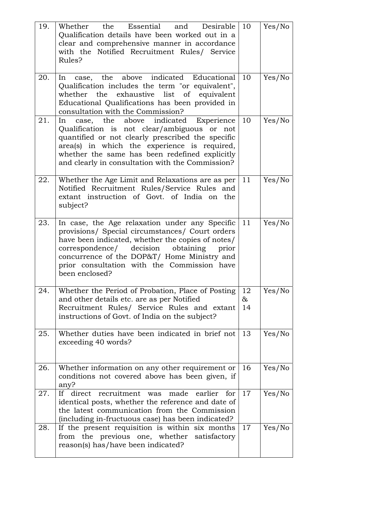| 19.<br>20. | Whether the Essential and Desirable<br>Qualification details have been worked out in a<br>clear and comprehensive manner in accordance<br>with the Notified Recruitment Rules/ Service<br>Rules?<br>In case, the above indicated Educational                                                                          | 10<br>10 | Yes/No |
|------------|-----------------------------------------------------------------------------------------------------------------------------------------------------------------------------------------------------------------------------------------------------------------------------------------------------------------------|----------|--------|
|            | Qualification includes the term "or equivalent",<br>whether the exhaustive list of equivalent<br>Educational Qualifications has been provided in<br>consultation with the Commission?                                                                                                                                 |          | Yes/No |
| 21.        | case, the above indicated Experience<br>In<br>Qualification is not clear/ambiguous or not<br>quantified or not clearly prescribed the specific<br>area(s) in which the experience is required,<br>whether the same has been redefined explicitly<br>and clearly in consultation with the Commission?                  | 10       | Yes/No |
| 22.        | Whether the Age Limit and Relaxations are as per<br>Notified Recruitment Rules/Service Rules and<br>extant instruction of Govt. of India on the<br>subject?                                                                                                                                                           | 11       | Yes/No |
| 23.        | In case, the Age relaxation under any Specific<br>provisions/ Special circumstances/ Court orders<br>have been indicated, whether the copies of notes/<br>correspondence/ decision obtaining<br>prior<br>concurrence of the DOP&T/ Home Ministry and<br>prior consultation with the Commission have<br>been enclosed? | 11       | Yes/No |
| 24.        | Whether the Period of Probation, Place of Posting $ 12\rangle$<br>and other details etc. are as per Notified<br>Recruitment Rules/ Service Rules and extant<br>instructions of Govt. of India on the subject?                                                                                                         | &<br>14  | Yes/No |
| 25.        | Whether duties have been indicated in brief not<br>exceeding 40 words?                                                                                                                                                                                                                                                | 13       | Yes/No |
| 26.        | Whether information on any other requirement or<br>conditions not covered above has been given, if<br>any?                                                                                                                                                                                                            | 16       | Yes/No |
| 27.        | recruitment<br>direct<br>If -<br>made<br>earlier<br>was<br>for<br>identical posts, whether the reference and date of<br>the latest communication from the Commission<br>(including in-fructuous case) has been indicated?                                                                                             | 17       | Yes/No |
| 28.        | If the present requisition is within six months<br>from the previous one, whether satisfactory<br>reason(s) has/have been indicated?                                                                                                                                                                                  | 17       | Yes/No |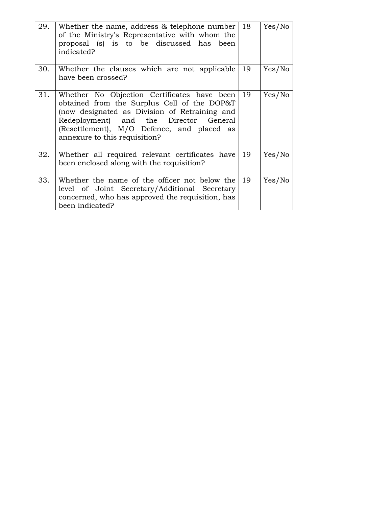| 29. | Whether the name, address & telephone number<br>of the Ministry's Representative with whom the<br>proposal (s) is to be discussed has been<br>indicated?                                                                                                             | 18 | Yes/No |
|-----|----------------------------------------------------------------------------------------------------------------------------------------------------------------------------------------------------------------------------------------------------------------------|----|--------|
| 30. | Whether the clauses which are not applicable<br>have been crossed?                                                                                                                                                                                                   | 19 | Yes/No |
| 31. | Whether No Objection Certificates have been<br>obtained from the Surplus Cell of the DOP&T<br>(now designated as Division of Retraining and<br>Redeployment) and the Director General<br>(Resettlement), M/O Defence, and placed as<br>annexure to this requisition? | 19 | Yes/No |
| 32. | Whether all required relevant certificates have<br>been enclosed along with the requisition?                                                                                                                                                                         | 19 | Yes/No |
| 33. | Whether the name of the officer not below the<br>level of Joint Secretary/Additional Secretary<br>concerned, who has approved the requisition, has<br>been indicated?                                                                                                | 19 | Yes/No |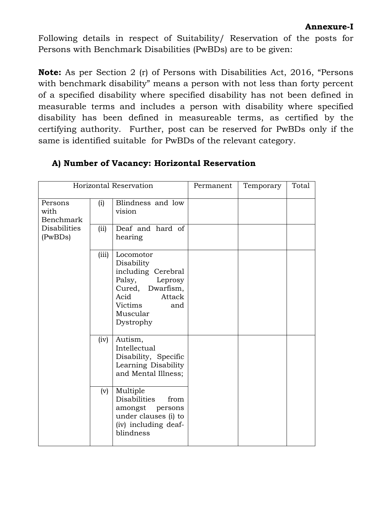Following details in respect of Suitability/ Reservation of the posts for Persons with Benchmark Disabilities (PwBDs) are to be given:

**Note:** As per Section 2 (r) of Persons with Disabilities Act, 2016, "Persons with benchmark disability" means a person with not less than forty percent of a specified disability where specified disability has not been defined in measurable terms and includes a person with disability where specified disability has been defined in measureable terms, as certified by the certifying authority. Further, post can be reserved for PwBDs only if the same is identified suitable for PwBDs of the relevant category.

| Horizontal Reservation              |       |                                                                                                                                                     | Permanent | Temporary | Total |
|-------------------------------------|-------|-----------------------------------------------------------------------------------------------------------------------------------------------------|-----------|-----------|-------|
| Persons<br>with<br><b>Benchmark</b> | (i)   | Blindness and low<br>vision                                                                                                                         |           |           |       |
| <b>Disabilities</b><br>(PwBDs)      | (ii)  | Deaf and hard of<br>hearing                                                                                                                         |           |           |       |
|                                     | (iii) | Locomotor<br>Disability<br>including Cerebral<br>Palsy,<br>Leprosy<br>Cured, Dwarfism,<br>Acid<br>Attack<br>Victims<br>and<br>Muscular<br>Dystrophy |           |           |       |
|                                     | (iv)  | Autism,<br>Intellectual<br>Disability, Specific<br>Learning Disability<br>and Mental Illness;                                                       |           |           |       |
|                                     | (v)   | Multiple<br><b>Disabilities</b><br>from<br>amongst persons<br>under clauses (i) to<br>(iv) including deaf-<br>blindness                             |           |           |       |

## **A) Number of Vacancy: Horizontal Reservation**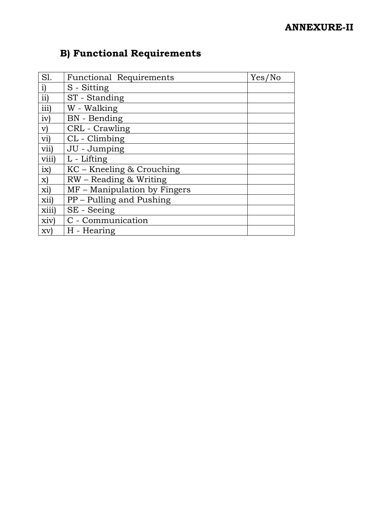## **ANNEXURE-II**

# **B) Functional Requirements**

| S1.                 | <b>Functional Requirements</b> | Yes/No |
|---------------------|--------------------------------|--------|
| $\mathbf{i})$       | S - Sitting                    |        |
| ii)                 | ST - Standing                  |        |
| iii)                | W - Walking                    |        |
| iv)                 | <b>BN</b> - Bending            |        |
| $\mathbf{v})$       | CRL - Crawling                 |        |
| $\operatorname{vi}$ | CL - Climbing                  |        |
| vii)                | JU - Jumping                   |        |
| viii)               | L - Lifting                    |        |
| ix)                 | KC – Kneeling & Crouching      |        |
| $\mathbf{x}$        | RW - Reading & Writing         |        |
| xi)                 | MF – Manipulation by Fingers   |        |
| xii)                | PP – Pulling and Pushing       |        |
| xiii)               | SE - Seeing                    |        |
| xiv)                | C - Communication              |        |
| xv                  | H - Hearing                    |        |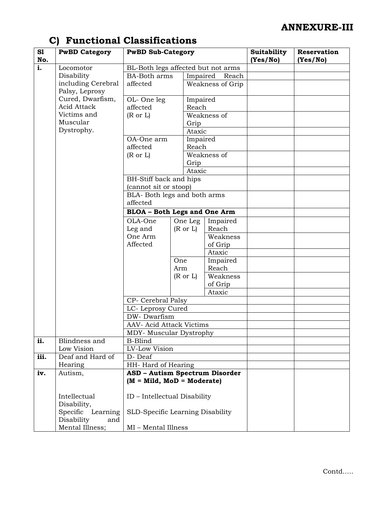| S1<br>No.          | <b>PwBD Category</b>                      | <b>PwBD Sub-Category</b>                                           |                     |                   | Suitability<br>(Yes/No) | Reservation<br>(Yes/No) |
|--------------------|-------------------------------------------|--------------------------------------------------------------------|---------------------|-------------------|-------------------------|-------------------------|
| i.                 | Locomotor                                 | BL-Both legs affected but not arms                                 |                     |                   |                         |                         |
|                    | Disability                                | <b>BA-Both arms</b>                                                |                     | Impaired<br>Reach |                         |                         |
| including Cerebral |                                           | affected                                                           |                     | Weakness of Grip  |                         |                         |
|                    | Palsy, Leprosy                            |                                                                    |                     |                   |                         |                         |
|                    | Cured, Dwarfism,                          | OL-One leg                                                         |                     | Impaired          |                         |                         |
|                    | Acid Attack<br>Victims and                | affected                                                           | Reach               |                   |                         |                         |
|                    | Muscular                                  | $(R \text{ or } L)$                                                |                     | Weakness of       |                         |                         |
|                    | Dystrophy.                                |                                                                    | Grip<br>Ataxic      |                   |                         |                         |
|                    |                                           | OA-One arm                                                         |                     |                   |                         |                         |
|                    | Impaired<br>affected<br>Reach             |                                                                    |                     |                   |                         |                         |
|                    | Weakness of<br>$(R \text{ or } L)$        |                                                                    |                     |                   |                         |                         |
|                    |                                           |                                                                    | Grip                |                   |                         |                         |
|                    |                                           |                                                                    | Ataxic              |                   |                         |                         |
|                    |                                           | BH-Stiff back and hips                                             |                     |                   |                         |                         |
|                    |                                           | (cannot sit or stoop)                                              |                     |                   |                         |                         |
|                    |                                           | BLA- Both legs and both arms                                       |                     |                   |                         |                         |
|                    |                                           | affected                                                           |                     |                   |                         |                         |
|                    | <b>BLOA</b> - Both Legs and One Arm       |                                                                    |                     |                   |                         |                         |
|                    |                                           | OLA-One                                                            | One Leg             | Impaired          |                         |                         |
|                    |                                           | Leg and                                                            | $(R \text{ or } L)$ | Reach             |                         |                         |
|                    |                                           | One Arm                                                            |                     | Weakness          |                         |                         |
|                    |                                           | Affected                                                           |                     | of Grip           |                         |                         |
|                    |                                           |                                                                    |                     | Ataxic            |                         |                         |
|                    |                                           |                                                                    | One                 | Impaired          |                         |                         |
|                    |                                           |                                                                    | Arm                 | Reach<br>Weakness |                         |                         |
|                    |                                           |                                                                    | $(R \text{ or } L)$ |                   |                         |                         |
|                    |                                           |                                                                    |                     | of Grip<br>Ataxic |                         |                         |
|                    |                                           | CP- Cerebral Palsy                                                 |                     |                   |                         |                         |
|                    |                                           | LC-Leprosy Cured                                                   |                     |                   |                         |                         |
|                    |                                           | DW-Dwarfism                                                        |                     |                   |                         |                         |
|                    |                                           | <b>AAV- Acid Attack Victims</b>                                    |                     |                   |                         |                         |
|                    |                                           | MDY- Muscular Dystrophy                                            |                     |                   |                         |                         |
| ii.                | Blindness and                             | <b>B-Blind</b>                                                     |                     |                   |                         |                         |
|                    | Low Vision                                | LV-Low Vision                                                      | HH-Hard of Hearing  |                   |                         |                         |
| iii.               | Deaf and Hard of                          | D-Deaf                                                             |                     |                   |                         |                         |
|                    | Hearing                                   |                                                                    |                     |                   |                         |                         |
| iv.                | Autism,                                   | <b>ASD - Autism Spectrum Disorder</b><br>$(M = Mild, MOD = Model)$ |                     |                   |                         |                         |
|                    | Intellectual<br>Disability,               | ID - Intellectual Disability                                       |                     |                   |                         |                         |
|                    | Specific<br>Learning<br>Disability<br>and | SLD-Specific Learning Disability                                   |                     |                   |                         |                         |
|                    | Mental Illness;                           | MI - Mental Illness                                                |                     |                   |                         |                         |

# **C) Functional Classifications**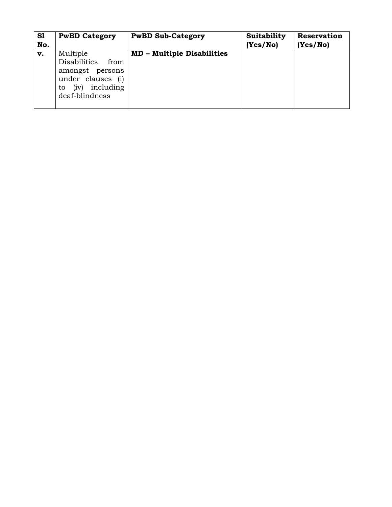| S1<br>No. | <b>PwBD Category</b>                                                                                                            | <b>PwBD Sub-Category</b>          | Suitability<br>(Yes/No) | Reservation<br>(Yes/No) |
|-----------|---------------------------------------------------------------------------------------------------------------------------------|-----------------------------------|-------------------------|-------------------------|
| v.        | Multiple<br><b>Disabilities</b><br>from<br>amongst<br>persons<br>under clauses (i)<br>including<br>(iv)<br>to<br>deaf-blindness | <b>MD - Multiple Disabilities</b> |                         |                         |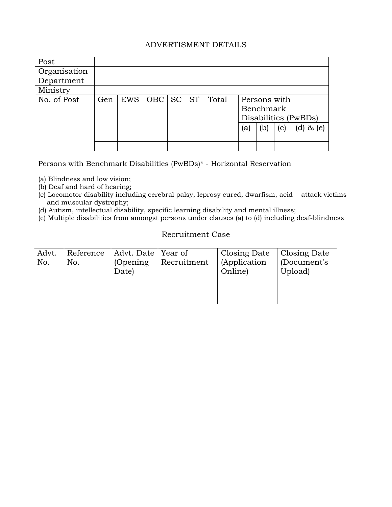### ADVERTISMENT DETAILS

| Post         |     |     |                        |           |       |                                                          |     |     |                 |
|--------------|-----|-----|------------------------|-----------|-------|----------------------------------------------------------|-----|-----|-----------------|
| Organisation |     |     |                        |           |       |                                                          |     |     |                 |
| Department   |     |     |                        |           |       |                                                          |     |     |                 |
| Ministry     |     |     |                        |           |       |                                                          |     |     |                 |
| No. of Post  | Gen | EWS | $\vert$ OBC $\vert$ SC | <b>ST</b> | Total | Persons with<br><b>Benchmark</b><br>Disabilities (PwBDs) |     |     |                 |
|              |     |     |                        |           |       | (a)                                                      | (b) | (c) | (d)<br>$\&$ (e) |
|              |     |     |                        |           |       |                                                          |     |     |                 |

Persons with Benchmark Disabilities (PwBDs)\* - Horizontal Reservation

- (a) Blindness and low vision;
- (b) Deaf and hard of hearing;
- (c) Locomotor disability including cerebral palsy, leprosy cured, dwarfism, acid attack victims and muscular dystrophy;
- (d) Autism, intellectual disability, specific learning disability and mental illness;
- (e) Multiple disabilities from amongst persons under clauses (a) to (d) including deaf-blindness

## Recruitment Case

| Advt.<br>No. | No. | Reference   Advt. Date   Year of<br>(Opening)<br>Date) | Recruitment | Closing Date   Closing Date<br>(Application<br>Online) | $\vert$ (Document's<br>Upload) |
|--------------|-----|--------------------------------------------------------|-------------|--------------------------------------------------------|--------------------------------|
|              |     |                                                        |             |                                                        |                                |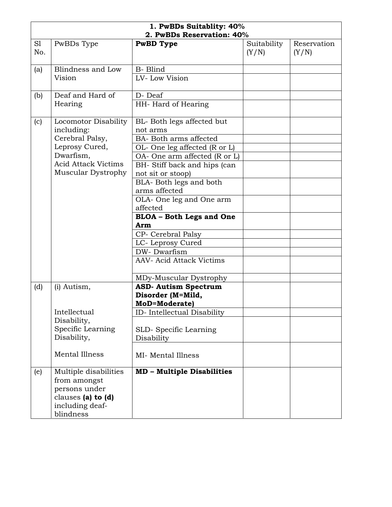| 1. PwBDs Suitablity: 40%<br>2. PwBDs Reservation: 40% |                                                                                                                                          |                                                                                                                                                                                                                                                                                                                                                                                                                 |                      |                      |
|-------------------------------------------------------|------------------------------------------------------------------------------------------------------------------------------------------|-----------------------------------------------------------------------------------------------------------------------------------------------------------------------------------------------------------------------------------------------------------------------------------------------------------------------------------------------------------------------------------------------------------------|----------------------|----------------------|
| S1<br>No.                                             | PwBDs Type                                                                                                                               | <b>PwBD</b> Type                                                                                                                                                                                                                                                                                                                                                                                                | Suitability<br>(Y/N) | Reservation<br>(Y/N) |
| (a)                                                   | Blindness and Low<br>Vision                                                                                                              | <b>B-</b> Blind<br>LV-Low Vision                                                                                                                                                                                                                                                                                                                                                                                |                      |                      |
| (b)                                                   | Deaf and Hard of<br>Hearing                                                                                                              | D-Deaf<br>HH-Hard of Hearing                                                                                                                                                                                                                                                                                                                                                                                    |                      |                      |
| (c)                                                   | Locomotor Disability<br>including:<br>Cerebral Palsy,<br>Leprosy Cured,<br>Dwarfism,<br><b>Acid Attack Victims</b><br>Muscular Dystrophy | BL-Both legs affected but<br>not arms<br>BA- Both arms affected<br>OL- One leg affected (R or L)<br>OA- One arm affected (R or L)<br>BH- Stiff back and hips (can<br>not sit or stoop)<br>BLA-Both legs and both<br>arms affected<br>OLA- One leg and One arm<br>affected<br><b>BLOA</b> - Both Legs and One<br>Arm<br>CP- Cerebral Palsy<br>LC-Leprosy Cured<br>DW-Dwarfism<br><b>AAV- Acid Attack Victims</b> |                      |                      |
| (d)                                                   | (i) Autism,<br>Intellectual<br>Disability,<br>Specific Learning<br>Disability,<br><b>Mental Illness</b>                                  | MDy-Muscular Dystrophy<br><b>ASD- Autism Spectrum</b><br>Disorder (M=Mild,<br><b>MoD=Moderate)</b><br>ID- Intellectual Disability<br>SLD-Specific Learning<br>Disability<br>MI- Mental Illness                                                                                                                                                                                                                  |                      |                      |
| (e)                                                   | Multiple disabilities<br>from amongst<br>persons under<br>clauses (a) to (d)<br>including deaf-<br>blindness                             | <b>MD - Multiple Disabilities</b>                                                                                                                                                                                                                                                                                                                                                                               |                      |                      |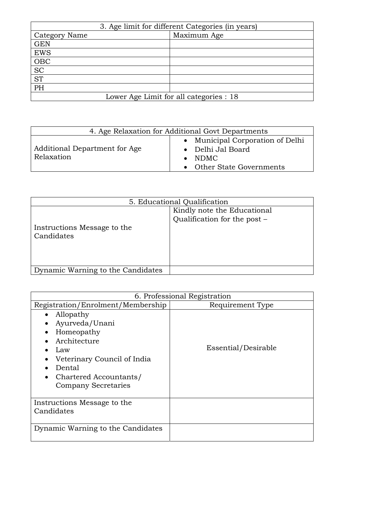| 3. Age limit for different Categories (in years) |             |  |
|--------------------------------------------------|-------------|--|
| Category Name                                    | Maximum Age |  |
| <b>GEN</b>                                       |             |  |
| <b>EWS</b>                                       |             |  |
| OBC                                              |             |  |
| $\overline{SC}$                                  |             |  |
| <b>ST</b>                                        |             |  |
| PH                                               |             |  |
| Lower Age Limit for all categories : 18          |             |  |

| 4. Age Relaxation for Additional Govt Departments |                                                                                                      |  |
|---------------------------------------------------|------------------------------------------------------------------------------------------------------|--|
| Additional Department for Age<br>Relaxation       | • Municipal Corporation of Delhi<br>• Delhi Jal Board<br>$\bullet$ NDMC<br>• Other State Governments |  |

| 5. Educational Qualification              |                                                             |
|-------------------------------------------|-------------------------------------------------------------|
| Instructions Message to the<br>Candidates | Kindly note the Educational<br>Qualification for the post - |
| Dynamic Warning to the Candidates         |                                                             |

|                                                                                                                                                                                             | 6. Professional Registration |
|---------------------------------------------------------------------------------------------------------------------------------------------------------------------------------------------|------------------------------|
| Registration/Enrolment/Membership                                                                                                                                                           | Requirement Type             |
| Allopathy<br>Ayurveda/Unani<br>$\bullet$<br>Homeopathy<br>Architecture<br>Law<br>Veterinary Council of India<br>Dental<br>Chartered Accountants/<br>$\bullet$<br><b>Company Secretaries</b> | Essential/Desirable          |
| Instructions Message to the<br>Candidates                                                                                                                                                   |                              |
| Dynamic Warning to the Candidates                                                                                                                                                           |                              |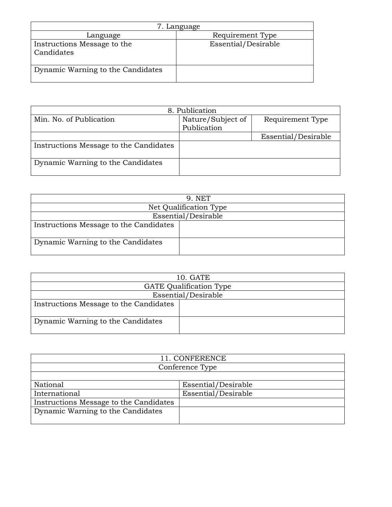| 7. Language                               |                     |  |
|-------------------------------------------|---------------------|--|
| Language                                  | Requirement Type    |  |
| Instructions Message to the<br>Candidates | Essential/Desirable |  |
| Dynamic Warning to the Candidates         |                     |  |

|                                        | 8. Publication                   |                     |
|----------------------------------------|----------------------------------|---------------------|
| Min. No. of Publication                | Nature/Subject of<br>Publication | Requirement Type    |
|                                        |                                  | Essential/Desirable |
| Instructions Message to the Candidates |                                  |                     |
| Dynamic Warning to the Candidates      |                                  |                     |

| 9. NET                                 |                     |  |
|----------------------------------------|---------------------|--|
| Net Qualification Type                 |                     |  |
|                                        | Essential/Desirable |  |
| Instructions Message to the Candidates |                     |  |
| Dynamic Warning to the Candidates      |                     |  |

| 10. GATE                               |                     |  |
|----------------------------------------|---------------------|--|
| <b>GATE</b> Qualification Type         |                     |  |
|                                        | Essential/Desirable |  |
| Instructions Message to the Candidates |                     |  |
| Dynamic Warning to the Candidates      |                     |  |

| 11. CONFERENCE                         |                     |  |
|----------------------------------------|---------------------|--|
| Conference Type                        |                     |  |
|                                        |                     |  |
| National                               | Essential/Desirable |  |
| International                          | Essential/Desirable |  |
| Instructions Message to the Candidates |                     |  |
| Dynamic Warning to the Candidates      |                     |  |
|                                        |                     |  |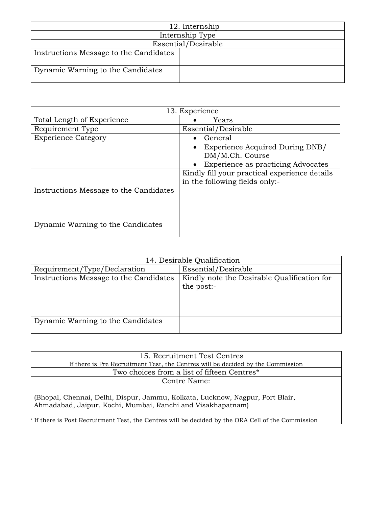| 12. Internship                         |                 |  |
|----------------------------------------|-----------------|--|
|                                        | Internship Type |  |
| Essential/Desirable                    |                 |  |
| Instructions Message to the Candidates |                 |  |
| Dynamic Warning to the Candidates      |                 |  |

| 13. Experience                         |                                                                                 |
|----------------------------------------|---------------------------------------------------------------------------------|
| Total Length of Experience             | Years                                                                           |
| Requirement Type                       | Essential/Desirable                                                             |
| <b>Experience Category</b>             | General                                                                         |
|                                        | Experience Acquired During DNB/<br>DM/M.Ch. Course                              |
|                                        | <b>Experience as practicing Advocates</b><br>$\bullet$                          |
|                                        | Kindly fill your practical experience details<br>in the following fields only:- |
| Instructions Message to the Candidates |                                                                                 |
|                                        |                                                                                 |
| Dynamic Warning to the Candidates      |                                                                                 |

| 14. Desirable Qualification            |                                             |
|----------------------------------------|---------------------------------------------|
| Requirement/Type/Declaration           | Essential/Desirable                         |
| Instructions Message to the Candidates | Kindly note the Desirable Qualification for |
|                                        | the post:-                                  |
|                                        |                                             |
|                                        |                                             |
|                                        |                                             |
| Dynamic Warning to the Candidates      |                                             |
|                                        |                                             |